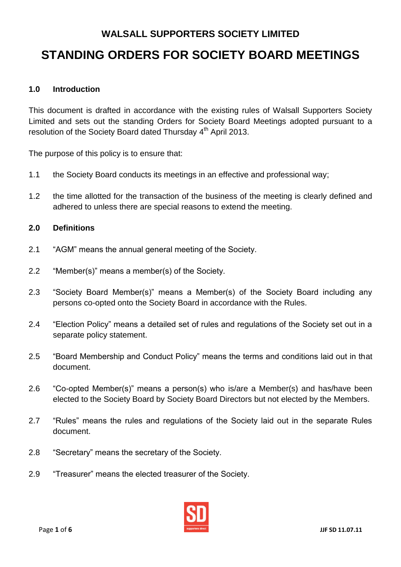# **WALSALL SUPPORTERS SOCIETY LIMITED STANDING ORDERS FOR SOCIETY BOARD MEETINGS**

# **1.0 Introduction**

This document is drafted in accordance with the existing rules of Walsall Supporters Society Limited and sets out the standing Orders for Society Board Meetings adopted pursuant to a resolution of the Society Board dated Thursday 4<sup>th</sup> April 2013.

The purpose of this policy is to ensure that:

- 1.1 the Society Board conducts its meetings in an effective and professional way;
- 1.2 the time allotted for the transaction of the business of the meeting is clearly defined and adhered to unless there are special reasons to extend the meeting.

#### **2.0 Definitions**

- 2.1 "AGM" means the annual general meeting of the Society.
- 2.2 "Member(s)" means a member(s) of the Society.
- 2.3 "Society Board Member(s)" means a Member(s) of the Society Board including any persons co-opted onto the Society Board in accordance with the Rules.
- 2.4 "Election Policy" means a detailed set of rules and regulations of the Society set out in a separate policy statement.
- 2.5 "Board Membership and Conduct Policy" means the terms and conditions laid out in that document.
- 2.6 "Co-opted Member(s)" means a person(s) who is/are a Member(s) and has/have been elected to the Society Board by Society Board Directors but not elected by the Members.
- 2.7 "Rules" means the rules and regulations of the Society laid out in the separate Rules document.
- 2.8 "Secretary" means the secretary of the Society.
- 2.9 "Treasurer" means the elected treasurer of the Society.

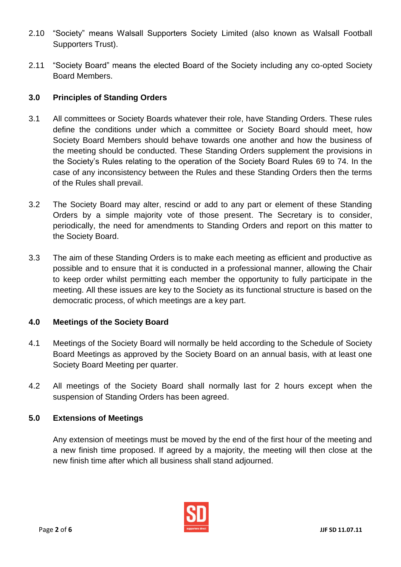- 2.10 "Society" means Walsall Supporters Society Limited (also known as Walsall Football Supporters Trust).
- 2.11 "Society Board" means the elected Board of the Society including any co-opted Society Board Members.

# **3.0 Principles of Standing Orders**

- 3.1 All committees or Society Boards whatever their role, have Standing Orders. These rules define the conditions under which a committee or Society Board should meet, how Society Board Members should behave towards one another and how the business of the meeting should be conducted. These Standing Orders supplement the provisions in the Society's Rules relating to the operation of the Society Board Rules 69 to 74. In the case of any inconsistency between the Rules and these Standing Orders then the terms of the Rules shall prevail.
- 3.2 The Society Board may alter, rescind or add to any part or element of these Standing Orders by a simple majority vote of those present. The Secretary is to consider, periodically, the need for amendments to Standing Orders and report on this matter to the Society Board.
- 3.3 The aim of these Standing Orders is to make each meeting as efficient and productive as possible and to ensure that it is conducted in a professional manner, allowing the Chair to keep order whilst permitting each member the opportunity to fully participate in the meeting. All these issues are key to the Society as its functional structure is based on the democratic process, of which meetings are a key part.

### **4.0 Meetings of the Society Board**

- 4.1 Meetings of the Society Board will normally be held according to the Schedule of Society Board Meetings as approved by the Society Board on an annual basis, with at least one Society Board Meeting per quarter.
- 4.2 All meetings of the Society Board shall normally last for 2 hours except when the suspension of Standing Orders has been agreed.

### **5.0 Extensions of Meetings**

Any extension of meetings must be moved by the end of the first hour of the meeting and a new finish time proposed. If agreed by a majority, the meeting will then close at the new finish time after which all business shall stand adjourned.

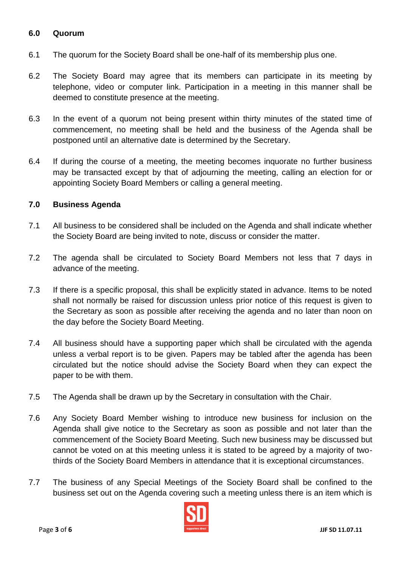## **6.0 Quorum**

- 6.1 The quorum for the Society Board shall be one-half of its membership plus one.
- 6.2 The Society Board may agree that its members can participate in its meeting by telephone, video or computer link. Participation in a meeting in this manner shall be deemed to constitute presence at the meeting.
- 6.3 In the event of a quorum not being present within thirty minutes of the stated time of commencement, no meeting shall be held and the business of the Agenda shall be postponed until an alternative date is determined by the Secretary.
- 6.4 If during the course of a meeting, the meeting becomes inquorate no further business may be transacted except by that of adjourning the meeting, calling an election for or appointing Society Board Members or calling a general meeting.

## **7.0 Business Agenda**

- 7.1 All business to be considered shall be included on the Agenda and shall indicate whether the Society Board are being invited to note, discuss or consider the matter.
- 7.2 The agenda shall be circulated to Society Board Members not less that 7 days in advance of the meeting.
- 7.3 If there is a specific proposal, this shall be explicitly stated in advance. Items to be noted shall not normally be raised for discussion unless prior notice of this request is given to the Secretary as soon as possible after receiving the agenda and no later than noon on the day before the Society Board Meeting.
- 7.4 All business should have a supporting paper which shall be circulated with the agenda unless a verbal report is to be given. Papers may be tabled after the agenda has been circulated but the notice should advise the Society Board when they can expect the paper to be with them.
- 7.5 The Agenda shall be drawn up by the Secretary in consultation with the Chair.
- 7.6 Any Society Board Member wishing to introduce new business for inclusion on the Agenda shall give notice to the Secretary as soon as possible and not later than the commencement of the Society Board Meeting. Such new business may be discussed but cannot be voted on at this meeting unless it is stated to be agreed by a majority of twothirds of the Society Board Members in attendance that it is exceptional circumstances.
- 7.7 The business of any Special Meetings of the Society Board shall be confined to the business set out on the Agenda covering such a meeting unless there is an item which is

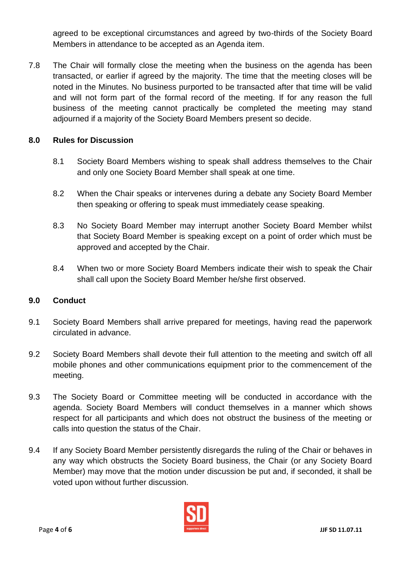agreed to be exceptional circumstances and agreed by two-thirds of the Society Board Members in attendance to be accepted as an Agenda item.

7.8 The Chair will formally close the meeting when the business on the agenda has been transacted, or earlier if agreed by the majority. The time that the meeting closes will be noted in the Minutes. No business purported to be transacted after that time will be valid and will not form part of the formal record of the meeting. If for any reason the full business of the meeting cannot practically be completed the meeting may stand adjourned if a majority of the Society Board Members present so decide.

# **8.0 Rules for Discussion**

- 8.1 Society Board Members wishing to speak shall address themselves to the Chair and only one Society Board Member shall speak at one time.
- 8.2 When the Chair speaks or intervenes during a debate any Society Board Member then speaking or offering to speak must immediately cease speaking.
- 8.3 No Society Board Member may interrupt another Society Board Member whilst that Society Board Member is speaking except on a point of order which must be approved and accepted by the Chair.
- 8.4 When two or more Society Board Members indicate their wish to speak the Chair shall call upon the Society Board Member he/she first observed.

### **9.0 Conduct**

- 9.1 Society Board Members shall arrive prepared for meetings, having read the paperwork circulated in advance.
- 9.2 Society Board Members shall devote their full attention to the meeting and switch off all mobile phones and other communications equipment prior to the commencement of the meeting.
- 9.3 The Society Board or Committee meeting will be conducted in accordance with the agenda. Society Board Members will conduct themselves in a manner which shows respect for all participants and which does not obstruct the business of the meeting or calls into question the status of the Chair.
- 9.4 If any Society Board Member persistently disregards the ruling of the Chair or behaves in any way which obstructs the Society Board business, the Chair (or any Society Board Member) may move that the motion under discussion be put and, if seconded, it shall be voted upon without further discussion.

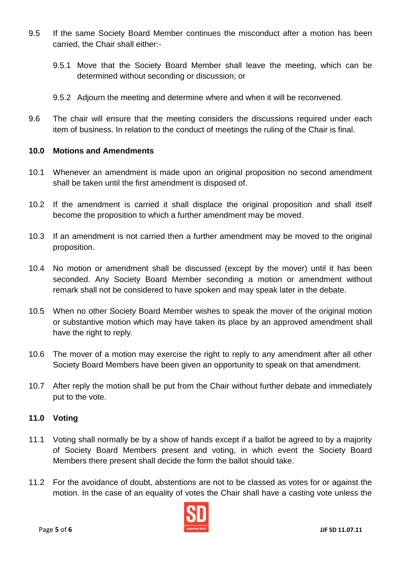- 9.5 If the same Society Board Member continues the misconduct after a motion has been carried, the Chair shall either:-
	- 9.5.1 Move that the Society Board Member shall leave the meeting, which can be determined without seconding or discussion; or
	- 9.5.2 Adjourn the meeting and determine where and when it will be reconvened.
- 9.6 The chair will ensure that the meeting considers the discussions required under each item of business. In relation to the conduct of meetings the ruling of the Chair is final.

### **10.0 Motions and Amendments**

- 10.1 Whenever an amendment is made upon an original proposition no second amendment shall be taken until the first amendment is disposed of.
- 10.2 If the amendment is carried it shall displace the original proposition and shall itself become the proposition to which a further amendment may be moved.
- 10.3 If an amendment is not carried then a further amendment may be moved to the original proposition.
- 10.4 No motion or amendment shall be discussed (except by the mover) until it has been seconded. Any Society Board Member seconding a motion or amendment without remark shall not be considered to have spoken and may speak later in the debate.
- 10.5 When no other Society Board Member wishes to speak the mover of the original motion or substantive motion which may have taken its place by an approved amendment shall have the right to reply.
- 10.6 The mover of a motion may exercise the right to reply to any amendment after all other Society Board Members have been given an opportunity to speak on that amendment.
- 10.7 After reply the motion shall be put from the Chair without further debate and immediately put to the vote.

### **11.0 Voting**

- 11.1 Voting shall normally be by a show of hands except if a ballot be agreed to by a majority of Society Board Members present and voting, in which event the Society Board Members there present shall decide the form the ballot should take.
- 11.2 For the avoidance of doubt, abstentions are not to be classed as votes for or against the motion. In the case of an equality of votes the Chair shall have a casting vote unless the